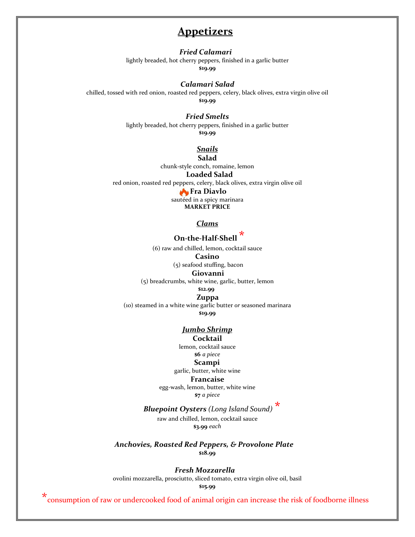# **Appetizers**

## *Fried Calamari*

lightly breaded, hot cherry peppers, finished in a garlic butter **\$19.99**

#### *Calamari Salad*

chilled, tossed with red onion, roasted red peppers, celery, black olives, extra virgin olive oil **\$19.99**

#### *Fried Smelts*

lightly breaded, hot cherry peppers, finished in a garlic butter **\$19.99**

# *Snails*

**Salad** chunk-style conch, romaine, lemon **Loaded Salad** red onion, roasted red peppers, celery, black olives, extra virgin olive oil **Fra Diavlo** sautéed in a spicy marinara **MARKET PRICE**

*Clams*

# **On-the-Half-Shell \***

(6) raw and chilled, lemon, cocktail sauce

#### **Casino**

(5) seafood stuffing, bacon

#### **Giovanni**

(5) breadcrumbs, white wine, garlic, butter, lemon

#### **\$12.99 Zuppa**

(10) steamed in a white wine garlic butter *or* seasoned marinara **\$19.99**

#### *Jumbo Shrimp*

#### **Cocktail**

lemon, cocktail sauce **\$6** *a piece* **Scampi**

#### garlic, butter, white wine

#### **Francaise**

egg-wash, lemon, butter, white wine **\$7** *a piece*

# *Bluepoint Oysters (Long Island Sound)* **\***

raw and chilled, lemon, cocktail sauce **\$3.99** *each*

 *Anchovies, Roasted Red Peppers, & Provolone Plate* **\$18.99**

#### *Fresh Mozzarella*

ovolini mozzarella, prosciutto, sliced tomato, extra virgin olive oil, basil

**\$15.99**

\*consumption of raw or undercooked food of animal origin can increase the risk of foodborne illness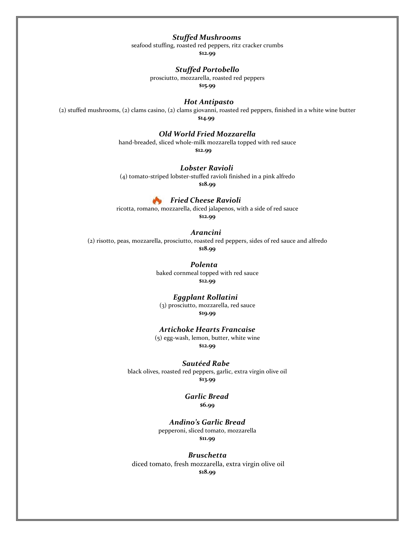# *Stuffed Mushrooms*

seafood stuffing, roasted red peppers, ritz cracker crumbs

**\$12.99**

## *Stuffed Portobello*

prosciutto, mozzarella, roasted red peppers

**\$15.99**

#### *Hot Antipasto*

(2) stuffed mushrooms, (2) clams casino, (2) clams giovanni, roasted red peppers, finished in a white wine butter **\$14.99**

## *Old World Fried Mozzarella*

hand-breaded, sliced whole-milk mozzarella topped with red sauce

**\$12.99**

 *Lobster Ravioli*

(4) tomato-striped lobster-stuffed ravioli finished in a pink alfredo

**\$18.99**

#### *Fried Cheese Ravioli*

ricotta, romano, mozzarella, diced jalapenos, with a side of red sauce

**\$12.99**

#### *Arancini*

(2) risotto, peas, mozzarella, prosciutto, roasted red peppers, sides of red sauce and alfredo **\$18.99**

 *Polenta*

baked cornmeal topped with red sauce **\$12.99**

#### *Eggplant Rollatini*

(3) prosciutto, mozzarella, red sauce **\$19.99**

#### *Artichoke Hearts Francaise*

(5) egg-wash, lemon, butter, white wine **\$12.99**

#### *Sautéed Rabe*

black olives, roasted red peppers, garlic, extra virgin olive oil **\$13.99**

> *Garlic Bread*  **\$6.99**

## *Andino's Garlic Bread*

pepperoni, sliced tomato, mozzarella **\$11.99**

#### *Bruschetta*

diced tomato, fresh mozzarella, extra virgin olive oil **\$18.99**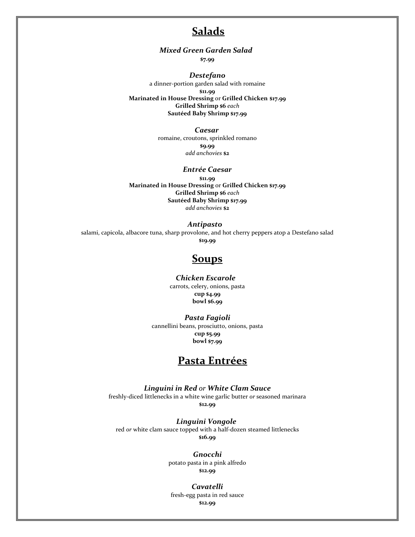# **Salads**

 *Mixed Green Garden Salad*

**\$7.99**

## *Destefano*

a dinner-portion garden salad with romaine **\$11.99 Marinated in House Dressing** or **Grilled Chicken \$17.99 Grilled Shrimp \$6** *each* **Sautéed Baby Shrimp \$17.99**

## *Caesar*

romaine, croutons, sprinkled romano **\$9.99** *add anchovies* **\$2**

## *Entrée Caesar*

**\$11.99 Marinated in House Dressing** or **Grilled Chicken \$17.99 Grilled Shrimp \$6** *each* **Sautéed Baby Shrimp \$17.99** *add anchovies* **\$2**

## *Antipasto*

salami, capicola, albacore tuna, sharp provolone, and hot cherry peppers atop a Destefano salad **\$19.99**

# **Soups**

#### *Chicken Escarole*

carrots, celery, onions, pasta **cup \$4.99 bowl \$6.99**

## *Pasta Fagioli*

cannellini beans, prosciutto, onions, pasta **cup \$5.99 bowl \$7.99** 

# **Pasta Entrées**

# *Linguini in Red or White Clam Sauce*

freshly-diced littlenecks in a white wine garlic butter *or* seasoned marinara **\$12.99**

#### *Linguini Vongole*

red *or* white clam sauce topped with a half-dozen steamed littlenecks **\$16.99**

> *Gnocchi* potato pasta in a pink alfredo **\$12.99**

#### *Cavatelli* fresh-egg pasta in red sauce **\$12.99**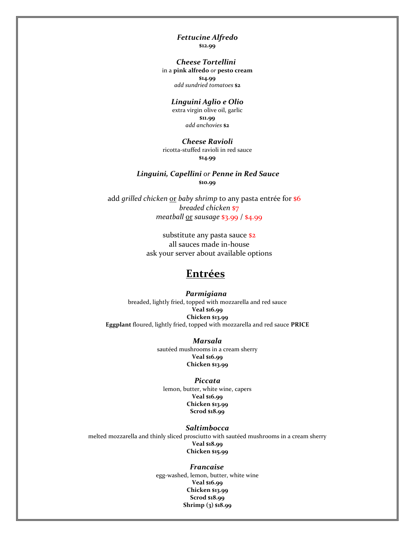## *Fettucine Alfredo* **\$12.99**

 *Cheese Tortellini* in a **pink alfredo** *or* **pesto cream \$14.99** *add sundried tomatoes* **\$2**

#### *Linguini Aglio e Olio*

extra virgin olive oil, garlic **\$11.99** *add anchovies* **\$2**

# *Cheese Ravioli*

ricotta-stuffed ravioli in red sauce **\$14.99**

## *Linguini, Capellini or Penne in Red Sauce* **\$10.99**

add *grilled chicken* or *baby shrimp* to any pasta entrée for **\$6**  *breaded chicken* \$7  *meatball* or *sausage* \$3.99 / \$4.99

> substitute any pasta sauce \$2 all sauces made in-house ask your server about available options

# **Entrées**

 *Parmigiana* breaded, lightly fried, topped with mozzarella and red sauce **Veal \$16.99 Chicken \$13.99 Eggplant** floured, lightly fried, topped with mozzarella and red sauce **PRICE**

> *Marsala* sautéed mushrooms in a cream sherry **Veal \$16.99 Chicken \$13.99**

#### *Piccata*

lemon, butter, white wine, capers **Veal \$16.99 Chicken \$13.99 Scrod \$18.99**

#### *Saltimbocca*

melted mozzarella and thinly sliced prosciutto with sautéed mushrooms in a cream sherry **Veal \$18.99 Chicken \$15.99**

> *Francaise* egg-washed, lemon, butter, white wine **Veal \$16.99 Chicken \$13.99 Scrod \$18.99 Shrimp (3) \$18.99**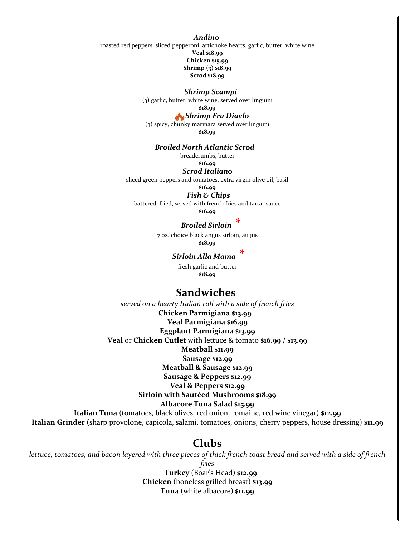*Andino*

roasted red peppers, sliced pepperoni, artichoke hearts, garlic, butter, white wine **Veal \$18.99 Chicken \$15.99 Shrimp (3) \$18.99 Scrod \$18.99**

#### *Shrimp Scampi*

(3) garlic, butter, white wine, served over linguini

# **\$18.99**

 *Shrimp Fra Diavlo* (3) spicy, chunky marinara served over linguini **\$18.99**

#### *Broiled North Atlantic Scrod*

breadcrumbs, butter

#### **\$16.99** *Scrod Italiano*

sliced green peppers and tomatoes, extra virgin olive oil, basil

#### **\$16.99**

*Fish & Chips*

battered, fried, served with french fries and tartar sauce

**\$16.99**

# *Broiled Sirloin \**

7 oz. choice black angus sirloin, au jus **\$18.99**

## *Sirloin Alla Mama \**

fresh garlic and butter **\$18.99**

# **Sandwiches**

*served on a hearty Italian roll with a side of french fries*  **Chicken Parmigiana \$13.99 Veal Parmigiana \$16.99 Eggplant Parmigiana \$13.99 Veal** or **Chicken Cutlet** with lettuce & tomato **\$16.99 / \$13.99 Meatball \$11.99 Sausage \$12.99 Meatball & Sausage \$12.99 Sausage & Peppers \$12.99 Veal & Peppers \$12.99 Sirloin with Sautéed Mushrooms \$18.99 Albacore Tuna Salad \$15.99 Italian Tuna** (tomatoes, black olives, red onion, romaine, red wine vinegar) **\$12.99**

**Italian Grinder** (sharp provolone, capicola, salami, tomatoes, onions, cherry peppers, house dressing) **\$11.99**

# **Clubs**

*lettuce, tomatoes, and bacon layered with three pieces of thick french toast bread and served with a side of french fries*

> **Turkey** (Boar's Head) **\$12.99 Chicken** (boneless grilled breast) **\$13.99 Tuna** (white albacore) **\$11.99**